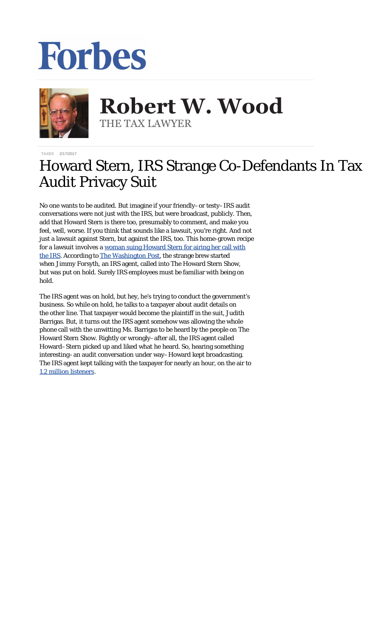## Forbes



**Robert W. Wood Robert W. Wood** THE TAX LAWYER THE TAX LAWYER

**[TAXES](https://www.forbes.com/taxes)** 2/17/2017

## Howard Stern, IRS Strange Co-Defendants In Tax Audit Privacy Suit

No one wants to be audited. But imagine if your friendly–or testy–IRS audit conversations were not just with the IRS, but were broadcast, publicly. Then, add that Howard Stern is there too, presumably to comment, and make you feel, well, worse. If you think that sounds like a lawsuit, you're right. And not just a lawsuit against Stern, but against the IRS, too. This home-grown recipe for a lawsuit involves a [woman suing Howard Stern for airing her call with](http://taxprof.typepad.com/taxprof_blog/2017/02/woman-sues-howard-stern-for-airing-her-phone-call-with-irs-agent-discussing-her-taxes.html) [the IRS](http://taxprof.typepad.com/taxprof_blog/2017/02/woman-sues-howard-stern-for-airing-her-phone-call-with-irs-agent-discussing-her-taxes.html). According to [The Washington Post](https://www.washingtonpost.com/news/morning-mix/wp/2017/02/15/howard-stern-sued-for-airing-confidential-call-between-irs-agent-and-taxpayer/?utm_term=.040a71aeaab4), the strange brew started when Jimmy Forsyth, an IRS agent, called into The Howard Stern Show, but was put on hold. Surely IRS employees must be familiar with being on hold.

The IRS agent was on hold, but hey, he's trying to conduct the government's business. So while on hold, he talks to a taxpayer about audit details on the other line. That taxpayer would become the plaintiff in the suit, Judith Barrigas. But, it turns out the IRS agent somehow was allowing the whole phone call with the unwitting Ms. Barrigas to be heard by the people on The Howard Stern Show. Rightly or wrongly–after all, the IRS agent called Howard–Stern picked up and liked what he heard. So, hearing something interesting–an audit conversation under way–Howard kept broadcasting. The IRS agent kept talking with the taxpayer for nearly an hour, on the air to [1.2 million listeners.](http://www.tmz.com/2017/02/14/howard-stern-show-lawsuit-irs-phone-call/)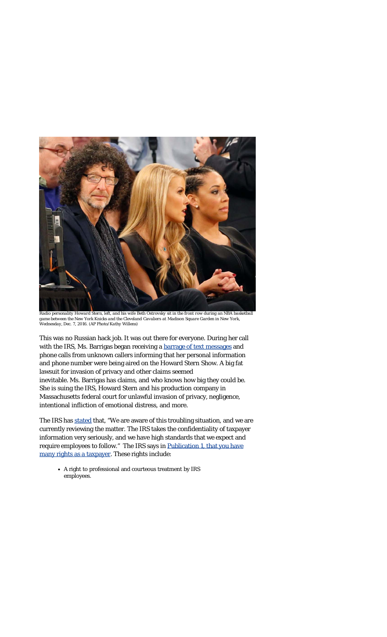

*Radio personality Howard Stern, left, and his wife Beth Ostrovsky sit in the front row during an NBA basketball game between the New York Knicks and the Cleveland Cavaliers at Madison Square Garden in New York, Wednesday, Dec. 7, 2016. (AP Photo/Kathy Willens)*

This was no Russian hack job. It was out there for everyone. During her call with the IRS, Ms. Barrigas began receiving a [barrage of text messages](http://www.foxnews.com/entertainment/2017/02/15/howard-stern-sued-for-reportedly-airing-womans-irs-conversation.html) and phone calls from unknown callers informing that her personal information and phone number were being aired on the Howard Stern Show. A big fat lawsuit for invasion of privacy and other claims seemed inevitable. Ms. Barrigas has claims, and who knows how big they could be. She is suing the IRS, Howard Stern and his production company in Massachusetts federal court for unlawful invasion of privacy, negligence, intentional infliction of emotional distress, and more.

The IRS has [stated](https://www.washingtonpost.com/news/morning-mix/wp/2017/02/15/howard-stern-sued-for-airing-confidential-call-between-irs-agent-and-taxpayer/?utm_term=.040a71aeaab4) that, "We are aware of this troubling situation, and we are currently reviewing the matter. The IRS takes the confidentiality of taxpayer information very seriously, and we have high standards that we expect and require employees to follow." The IRS says in [Publication 1, that you have](https://www.irs.gov/uac/about-publication-1) [many rights as a taxpayer](https://www.irs.gov/uac/about-publication-1). These rights include:

A right to professional and courteous treatment by IRS employees.